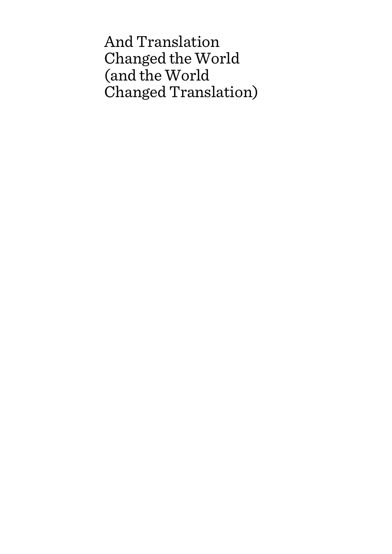And Translation Changed the World (and the World Changed Translation)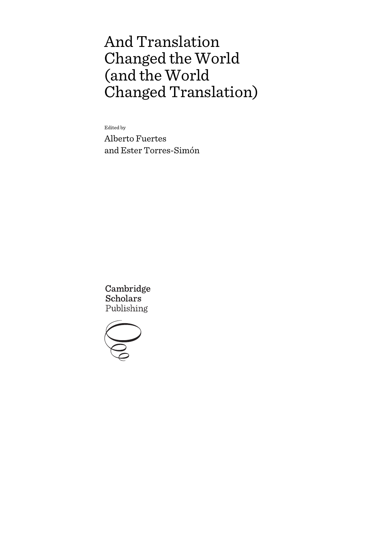# And Translation Changed the World (and the World Changed Translation)

Edited by

Alberto Fuertes and Ester Torres-Simón

Cambridge **Scholars** Publishing

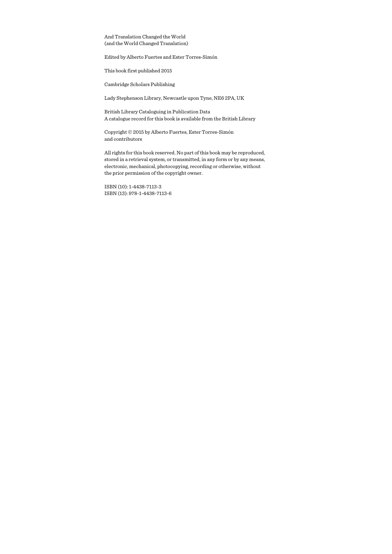And Translation Changed the World (and the World Changed Translation)

Edited by Alberto Fuertes and Ester Torres-Simón

This book first published 2015

Cambridge Scholars Publishing

Lady Stephenson Library, Newcastle upon Tyne, NE6 2PA, UK

British Library Cataloguing in Publication Data A catalogue record for this book is available from the British Library

Copyright © 2015 by Alberto Fuertes, Ester Torres-Simón and contributors

All rights for this book reserved. No part of this book may be reproduced, stored in a retrieval system, or transmitted, in any form or by any means, electronic, mechanical, photocopying, recording or otherwise, without the prior permission of the copyright owner.

ISBN (10): 1-4438-7113-3 ISBN (13): 978-1-4438-7113-6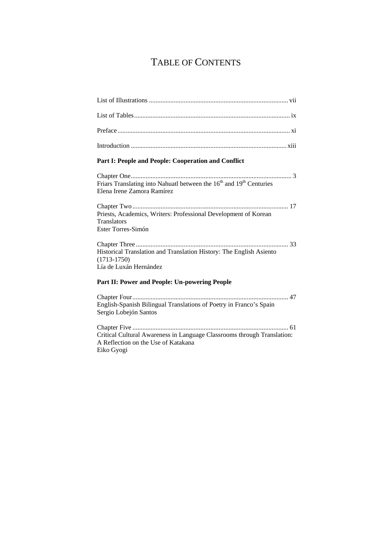## TABLE OF CONTENTS

| Part I: People and People: Cooperation and Conflict                                                                       |
|---------------------------------------------------------------------------------------------------------------------------|
| Friars Translating into Nahuatl between the 16 <sup>th</sup> and 19 <sup>th</sup> Centuries<br>Elena Irene Zamora Ramírez |
| Priests, Academics, Writers: Professional Development of Korean<br><b>Translators</b><br>Ester Torres-Simón               |
| Historical Translation and Translation History: The English Asiento<br>$(1713-1750)$<br>Lía de Luxán Hernández            |
| Part II: Power and People: Un-powering People                                                                             |
| English-Spanish Bilingual Translations of Poetry in Franco's Spain<br>Sergio Lobejón Santos                               |
| $C1$ and $C2$<br>$\epsilon$ 1                                                                                             |

Chapter Five .............................................................................................. 61 Critical Cultural Awareness in Language Classrooms through Translation: A Reflection on the Use of Katakana Eiko Gyogi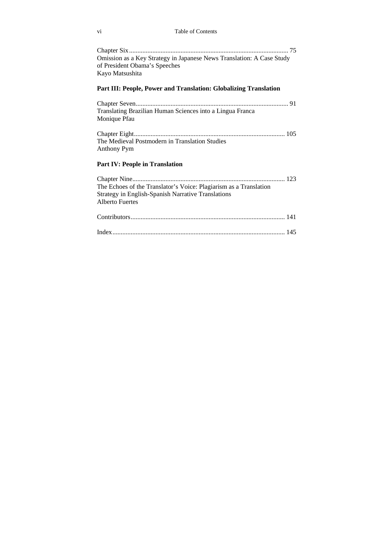#### vi Table of Contents

| Omission as a Key Strategy in Japanese News Translation: A Case Study |
|-----------------------------------------------------------------------|
| of President Obama's Speeches                                         |
| Kayo Matsushita                                                       |

### **Part III: People, Power and Translation: Globalizing Translation**

| Translating Brazilian Human Sciences into a Lingua Franca |  |
|-----------------------------------------------------------|--|
| Monique Pfau                                              |  |

Chapter Eight ........................................................................................... 105 The Medieval Postmodern in Translation Studies Anthony Pym

### **Part IV: People in Translation**

| The Echoes of the Translator's Voice: Plagiarism as a Translation |  |
|-------------------------------------------------------------------|--|
| Strategy in English-Spanish Narrative Translations                |  |
| <b>Alberto Fuertes</b>                                            |  |
|                                                                   |  |
|                                                                   |  |
|                                                                   |  |
|                                                                   |  |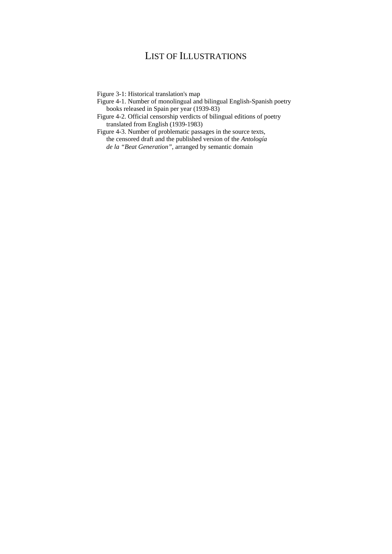## LIST OF ILLUSTRATIONS

Figure 3-1: Historical translation's map

- Figure 4-1. Number of monolingual and bilingual English-Spanish poetry books released in Spain per year (1939-83)
- Figure 4-2. Official censorship verdicts of bilingual editions of poetry translated from English (1939-1983)
- Figure 4-3. Number of problematic passages in the source texts, the censored draft and the published version of the *Antología de la "Beat Generation"*, arranged by semantic domain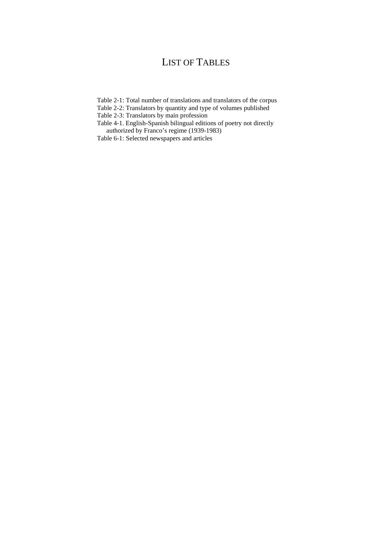## LIST OF TABLES

- Table 2-1: Total number of translations and translators of the corpus
- Table 2-2: Translators by quantity and type of volumes published
- Table 2-3: Translators by main profession
- Table 4-1. English-Spanish bilingual editions of poetry not directly authorized by Franco's regime (1939-1983)
- Table 6-1: Selected newspapers and articles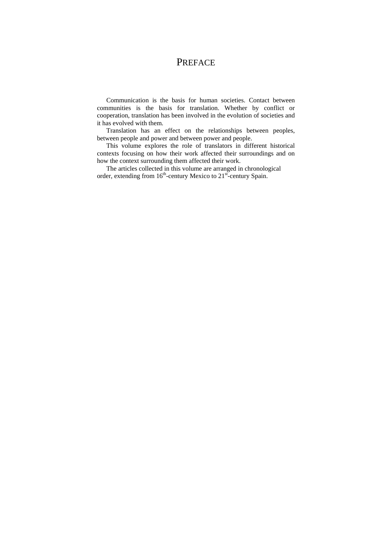### **PREFACE**

Communication is the basis for human societies. Contact between communities is the basis for translation. Whether by conflict or cooperation, translation has been involved in the evolution of societies and it has evolved with them.

Translation has an effect on the relationships between peoples, between people and power and between power and people.

This volume explores the role of translators in different historical contexts focusing on how their work affected their surroundings and on how the context surrounding them affected their work.

The articles collected in this volume are arranged in chronological order, extending from  $16<sup>th</sup>$ -century Mexico to  $21<sup>st</sup>$ -century Spain.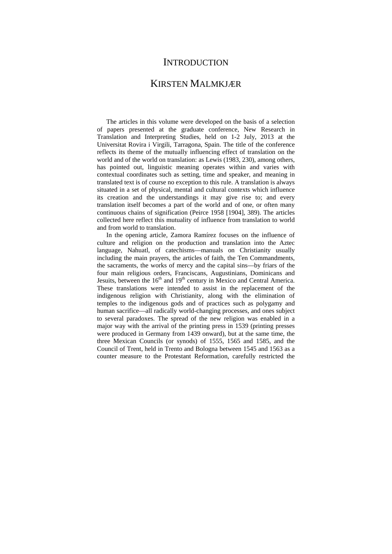## **INTRODUCTION**

### KIRSTEN MALMKJÆR

The articles in this volume were developed on the basis of a selection of papers presented at the graduate conference, New Research in Translation and Interpreting Studies, held on 1-2 July, 2013 at the Universitat Rovira i Virgili, Tarragona, Spain. The title of the conference reflects its theme of the mutually influencing effect of translation on the world and of the world on translation: as Lewis (1983, 230), among others, has pointed out, linguistic meaning operates within and varies with contextual coordinates such as setting, time and speaker, and meaning in translated text is of course no exception to this rule. A translation is always situated in a set of physical, mental and cultural contexts which influence its creation and the understandings it may give rise to; and every translation itself becomes a part of the world and of one, or often many continuous chains of signification (Peirce 1958 [1904], 389). The articles collected here reflect this mutuality of influence from translation to world and from world to translation.

In the opening article, Zamora Ramírez focuses on the influence of culture and religion on the production and translation into the Aztec language, Nahuatl, of catechisms—manuals on Christianity usually including the main prayers, the articles of faith, the Ten Commandments, the sacraments, the works of mercy and the capital sins—by friars of the four main religious orders, Franciscans, Augustinians, Dominicans and Jesuits, between the  $16<sup>th</sup>$  and  $19<sup>th</sup>$  century in Mexico and Central America. These translations were intended to assist in the replacement of the indigenous religion with Christianity, along with the elimination of temples to the indigenous gods and of practices such as polygamy and human sacrifice—all radically world-changing processes, and ones subject to several paradoxes. The spread of the new religion was enabled in a major way with the arrival of the printing press in 1539 (printing presses were produced in Germany from 1439 onward), but at the same time, the three Mexican Councils (or synods) of 1555, 1565 and 1585, and the Council of Trent, held in Trento and Bologna between 1545 and 1563 as a counter measure to the Protestant Reformation, carefully restricted the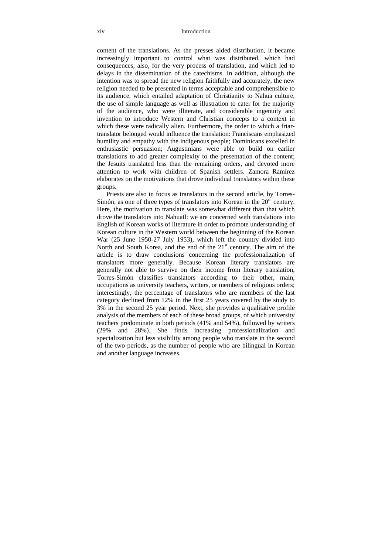#### xiv Introduction

content of the translations. As the presses aided distribution, it became increasingly important to control what was distributed, which had consequences, also, for the very process of translation, and which led to delays in the dissemination of the catechisms. In addition, although the intention was to spread the new religion faithfully and accurately, the new religion needed to be presented in terms acceptable and comprehensible to its audience, which entailed adaptation of Christianity to Nahua culture, the use of simple language as well as illustration to cater for the majority of the audience, who were illiterate, and considerable ingenuity and invention to introduce Western and Christian concepts to a context in which these were radically alien. Furthermore, the order to which a friartranslator belonged would influence the translation: Franciscans emphasized humility and empathy with the indigenous people; Dominicans excelled in enthusiastic persuasion; Augustinians were able to build on earlier translations to add greater complexity to the presentation of the content; the Jesuits translated less than the remaining orders, and devoted more attention to work with children of Spanish settlers. Zamora Ramírez elaborates on the motivations that drove individual translators within these groups.

Priests are also in focus as translators in the second article, by Torres-Simón, as one of three types of translators into Korean in the  $20<sup>th</sup>$  century. Here, the motivation to translate was somewhat different than that which drove the translators into Nahuatl: we are concerned with translations into English of Korean works of literature in order to promote understanding of Korean culture in the Western world between the beginning of the Korean War (25 June 1950-27 July 1953), which left the country divided into North and South Korea, and the end of the  $21<sup>st</sup>$  century. The aim of the article is to draw conclusions concerning the professionalization of translators more generally. Because Korean literary translators are generally not able to survive on their income from literary translation, Torres-Simón classifies translators according to their other, main, occupations as university teachers, writers, or members of religious orders; interestingly, the percentage of translators who are members of the last category declined from 12% in the first 25 years covered by the study to 3% in the second 25 year period. Next, she provides a qualitative profile analysis of the members of each of these broad groups, of which university teachers predominate in both periods (41% and 54%), followed by writers (29% and 28%). She finds increasing professionalization and specialization but less visibility among people who translate in the second of the two periods, as the number of people who are bilingual in Korean and another language increases.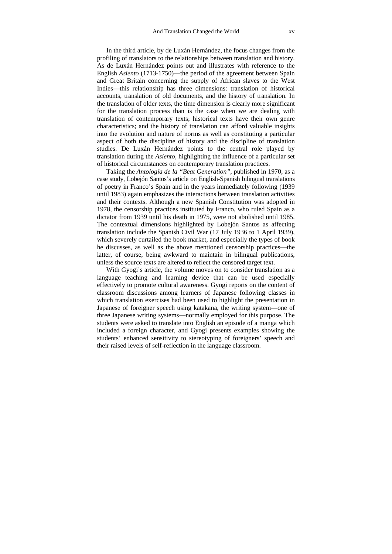In the third article, by de Luxán Hernández, the focus changes from the profiling of translators to the relationships between translation and history. As de Luxán Hernández points out and illustrates with reference to the English *Asiento* (1713-1750)—the period of the agreement between Spain and Great Britain concerning the supply of African slaves to the West Indies—this relationship has three dimensions: translation of historical accounts, translation of old documents, and the history of translation. In the translation of older texts, the time dimension is clearly more significant for the translation process than is the case when we are dealing with translation of contemporary texts; historical texts have their own genre characteristics; and the history of translation can afford valuable insights into the evolution and nature of norms as well as constituting a particular aspect of both the discipline of history and the discipline of translation studies. De Luxán Hernández points to the central role played by translation during the *Asiento*, highlighting the influence of a particular set of historical circumstances on contemporary translation practices.

Taking the *Antología de la "Beat Generation"*, published in 1970, as a case study, Lobejón Santos's article on English-Spanish bilingual translations of poetry in Franco's Spain and in the years immediately following (1939 until 1983) again emphasizes the interactions between translation activities and their contexts. Although a new Spanish Constitution was adopted in 1978, the censorship practices instituted by Franco, who ruled Spain as a dictator from 1939 until his death in 1975, were not abolished until 1985. The contextual dimensions highlighted by Lobejón Santos as affecting translation include the Spanish Civil War (17 July 1936 to 1 April 1939), which severely curtailed the book market, and especially the types of book he discusses, as well as the above mentioned censorship practices—the latter, of course, being awkward to maintain in bilingual publications, unless the source texts are altered to reflect the censored target text.

With Gyogi's article, the volume moves on to consider translation as a language teaching and learning device that can be used especially effectively to promote cultural awareness. Gyogi reports on the content of classroom discussions among learners of Japanese following classes in which translation exercises had been used to highlight the presentation in Japanese of foreigner speech using katakana, the writing system—one of three Japanese writing systems—normally employed for this purpose. The students were asked to translate into English an episode of a manga which included a foreign character, and Gyogi presents examples showing the students' enhanced sensitivity to stereotyping of foreigners' speech and their raised levels of self-reflection in the language classroom.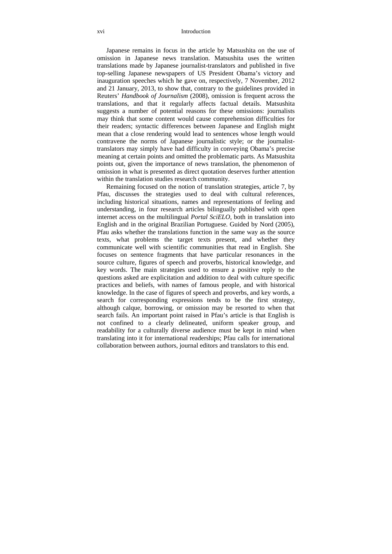#### xvi Introduction

Japanese remains in focus in the article by Matsushita on the use of omission in Japanese news translation. Matsushita uses the written translations made by Japanese journalist-translators and published in five top-selling Japanese newspapers of US President Obama's victory and inauguration speeches which he gave on, respectively, 7 November, 2012 and 21 January, 2013, to show that, contrary to the guidelines provided in Reuters' *Handbook of Journalism* (2008), omission is frequent across the translations, and that it regularly affects factual details. Matsushita suggests a number of potential reasons for these omissions: journalists may think that some content would cause comprehension difficulties for their readers; syntactic differences between Japanese and English might mean that a close rendering would lead to sentences whose length would contravene the norms of Japanese journalistic style; or the journalisttranslators may simply have had difficulty in conveying Obama's precise meaning at certain points and omitted the problematic parts. As Matsushita points out, given the importance of news translation, the phenomenon of omission in what is presented as direct quotation deserves further attention within the translation studies research community.

Remaining focused on the notion of translation strategies, article 7, by Pfau, discusses the strategies used to deal with cultural references, including historical situations, names and representations of feeling and understanding, in four research articles bilingually published with open internet access on the multilingual *Portal SciELO*, both in translation into English and in the original Brazilian Portuguese. Guided by Nord (2005), Pfau asks whether the translations function in the same way as the source texts, what problems the target texts present, and whether they communicate well with scientific communities that read in English. She focuses on sentence fragments that have particular resonances in the source culture, figures of speech and proverbs, historical knowledge, and key words. The main strategies used to ensure a positive reply to the questions asked are explicitation and addition to deal with culture specific practices and beliefs, with names of famous people, and with historical knowledge. In the case of figures of speech and proverbs, and key words, a search for corresponding expressions tends to be the first strategy, although calque, borrowing, or omission may be resorted to when that search fails. An important point raised in Pfau's article is that English is not confined to a clearly delineated, uniform speaker group, and readability for a culturally diverse audience must be kept in mind when translating into it for international readerships; Pfau calls for international collaboration between authors, journal editors and translators to this end.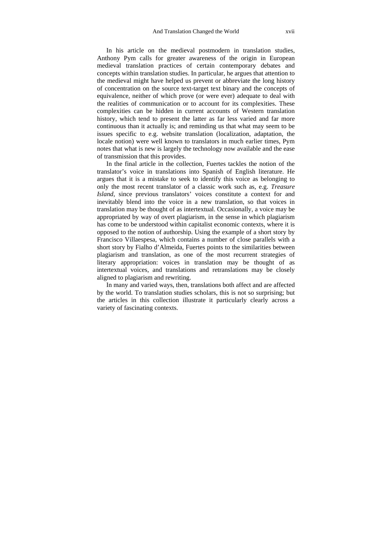In his article on the medieval postmodern in translation studies, Anthony Pym calls for greater awareness of the origin in European medieval translation practices of certain contemporary debates and concepts within translation studies. In particular, he argues that attention to the medieval might have helped us prevent or abbreviate the long history of concentration on the source text-target text binary and the concepts of equivalence, neither of which prove (or were ever) adequate to deal with the realities of communication or to account for its complexities. These complexities can be hidden in current accounts of Western translation history, which tend to present the latter as far less varied and far more continuous than it actually is; and reminding us that what may seem to be issues specific to e.g. website translation (localization, adaptation, the locale notion) were well known to translators in much earlier times, Pym notes that what is new is largely the technology now available and the ease of transmission that this provides.

In the final article in the collection, Fuertes tackles the notion of the translator's voice in translations into Spanish of English literature. He argues that it is a mistake to seek to identify this voice as belonging to only the most recent translator of a classic work such as, e.g. *Treasure Island*, since previous translators' voices constitute a context for and inevitably blend into the voice in a new translation, so that voices in translation may be thought of as intertextual. Occasionally, a voice may be appropriated by way of overt plagiarism, in the sense in which plagiarism has come to be understood within capitalist economic contexts, where it is opposed to the notion of authorship. Using the example of a short story by Francisco Villaespesa, which contains a number of close parallels with a short story by Fialho d'Almeida, Fuertes points to the similarities between plagiarism and translation, as one of the most recurrent strategies of literary appropriation: voices in translation may be thought of as intertextual voices, and translations and retranslations may be closely aligned to plagiarism and rewriting.

In many and varied ways, then, translations both affect and are affected by the world. To translation studies scholars, this is not so surprising; but the articles in this collection illustrate it particularly clearly across a variety of fascinating contexts.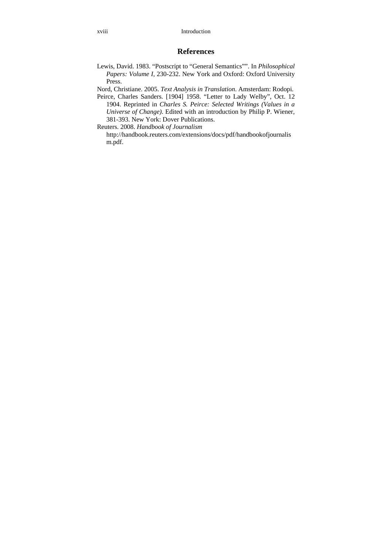### **References**

- Lewis, David. 1983. "Postscript to "General Semantics"". In *Philosophical Papers: Volume I*, 230-232. New York and Oxford: Oxford University Press.
- Nord, Christiane. 2005. *Text Analysis in Translation*. Amsterdam: Rodopi.
- Peirce, Charles Sanders. [1904] 1958. "Letter to Lady Welby", Oct. 12 1904. Reprinted in *Charles S. Peirce: Selected Writings (Values in a Universe of Change)*. Edited with an introduction by Philip P. Wiener, 381-393. New York: Dover Publications.

Reuters. 2008. *Handbook of Journalism* http://handbook.reuters.com/extensions/docs/pdf/handbookofjournalis m.pdf.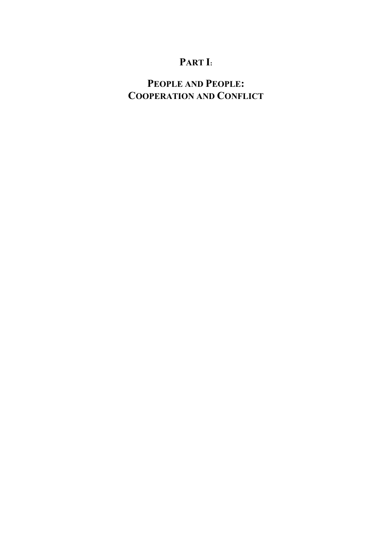## **PART I:**

## **PEOPLE AND PEOPLE: COOPERATION AND CONFLICT**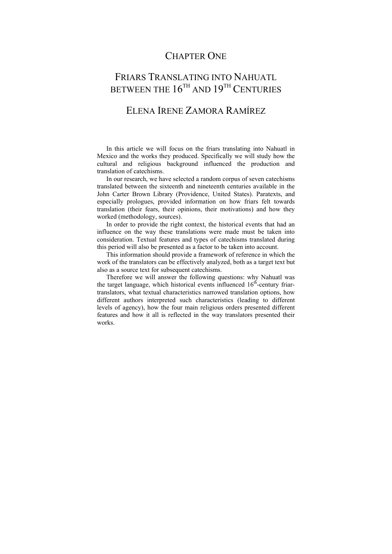## CHAPTER ONE

## FRIARS TRANSLATING INTO NAHUATL BETWEEN THE  $16^{TH}$  AND  $19^{TH}$  CENTURIES

## ELENA IRENE ZAMORA RAMÍREZ

In this article we will focus on the friars translating into Nahuatl in Mexico and the works they produced. Specifically we will study how the cultural and religious background influenced the production and translation of catechisms.

In our research, we have selected a random corpus of seven catechisms translated between the sixteenth and nineteenth centuries available in the John Carter Brown Library (Providence, United States). Paratexts, and especially prologues, provided information on how friars felt towards translation (their fears, their opinions, their motivations) and how they worked (methodology, sources).

In order to provide the right context, the historical events that had an influence on the way these translations were made must be taken into consideration. Textual features and types of catechisms translated during this period will also be presented as a factor to be taken into account.

This information should provide a framework of reference in which the work of the translators can be effectively analyzed, both as a target text but also as a source text for subsequent catechisms.

Therefore we will answer the following questions: why Nahuatl was the target language, which historical events influenced  $16<sup>th</sup>$ -century friartranslators, what textual characteristics narrowed translation options, how different authors interpreted such characteristics (leading to different levels of agency), how the four main religious orders presented different features and how it all is reflected in the way translators presented their works.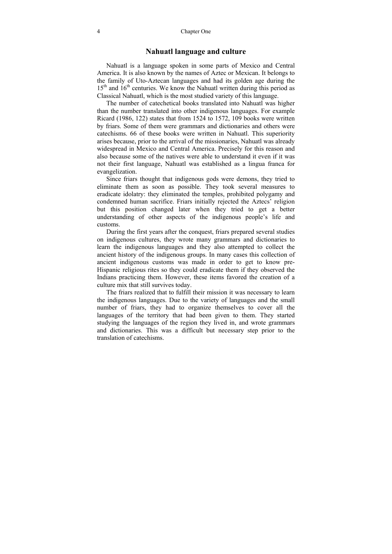### **Nahuatl language and culture**

Nahuatl is a language spoken in some parts of Mexico and Central America. It is also known by the names of Aztec or Mexican. It belongs to the family of Uto-Aztecan languages and had its golden age during the  $15<sup>th</sup>$  and  $16<sup>th</sup>$  centuries. We know the Nahuatl written during this period as Classical Nahuatl, which is the most studied variety of this language.

The number of catechetical books translated into Nahuatl was higher than the number translated into other indigenous languages. For example Ricard (1986, 122) states that from 1524 to 1572, 109 books were written by friars. Some of them were grammars and dictionaries and others were catechisms. 66 of these books were written in Nahuatl. This superiority arises because, prior to the arrival of the missionaries, Nahuatl was already widespread in Mexico and Central America. Precisely for this reason and also because some of the natives were able to understand it even if it was not their first language, Nahuatl was established as a lingua franca for evangelization.

Since friars thought that indigenous gods were demons, they tried to eliminate them as soon as possible. They took several measures to eradicate idolatry: they eliminated the temples, prohibited polygamy and condemned human sacrifice. Friars initially rejected the Aztecs' religion but this position changed later when they tried to get a better understanding of other aspects of the indigenous people's life and customs.

During the first years after the conquest, friars prepared several studies on indigenous cultures, they wrote many grammars and dictionaries to learn the indigenous languages and they also attempted to collect the ancient history of the indigenous groups. In many cases this collection of ancient indigenous customs was made in order to get to know pre-Hispanic religious rites so they could eradicate them if they observed the Indians practicing them. However, these items favored the creation of a culture mix that still survives today.

The friars realized that to fulfill their mission it was necessary to learn the indigenous languages. Due to the variety of languages and the small number of friars, they had to organize themselves to cover all the languages of the territory that had been given to them. They started studying the languages of the region they lived in, and wrote grammars and dictionaries. This was a difficult but necessary step prior to the translation of catechisms.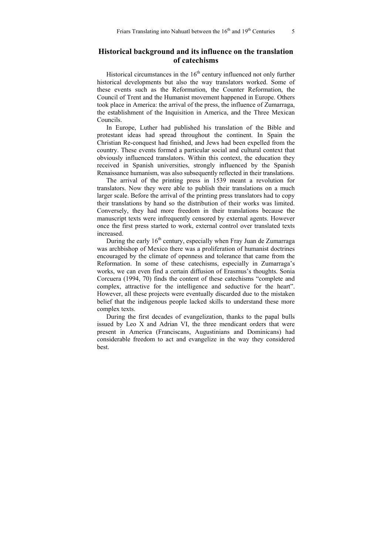### **Historical background and its influence on the translation of catechisms**

Historical circumstances in the  $16<sup>th</sup>$  century influenced not only further historical developments but also the way translators worked. Some of these events such as the Reformation, the Counter Reformation, the Council of Trent and the Humanist movement happened in Europe. Others took place in America: the arrival of the press, the influence of Zumarraga, the establishment of the Inquisition in America, and the Three Mexican Councils.

In Europe, Luther had published his translation of the Bible and protestant ideas had spread throughout the continent. In Spain the Christian Re-conquest had finished, and Jews had been expelled from the country. These events formed a particular social and cultural context that obviously influenced translators. Within this context, the education they received in Spanish universities, strongly influenced by the Spanish Renaissance humanism, was also subsequently reflected in their translations.

The arrival of the printing press in 1539 meant a revolution for translators. Now they were able to publish their translations on a much larger scale. Before the arrival of the printing press translators had to copy their translations by hand so the distribution of their works was limited. Conversely, they had more freedom in their translations because the manuscript texts were infrequently censored by external agents. However once the first press started to work, external control over translated texts increased.

During the early  $16<sup>th</sup>$  century, especially when Fray Juan de Zumarraga was archbishop of Mexico there was a proliferation of humanist doctrines encouraged by the climate of openness and tolerance that came from the Reformation. In some of these catechisms, especially in Zumarraga's works, we can even find a certain diffusion of Erasmus's thoughts. Sonia Corcuera (1994, 70) finds the content of these catechisms "complete and complex, attractive for the intelligence and seductive for the heart". However, all these projects were eventually discarded due to the mistaken belief that the indigenous people lacked skills to understand these more complex texts.

During the first decades of evangelization, thanks to the papal bulls issued by Leo X and Adrian VI, the three mendicant orders that were present in America (Franciscans, Augustinians and Dominicans) had considerable freedom to act and evangelize in the way they considered **best**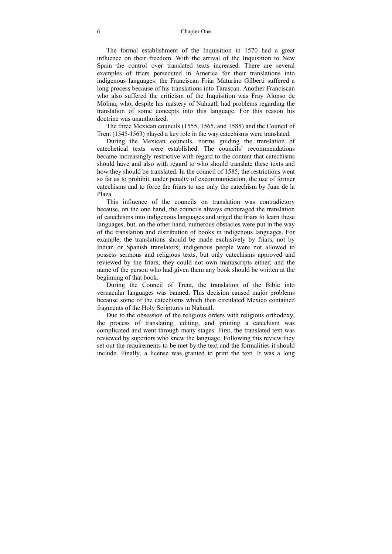The formal establishment of the Inquisition in 1570 had a great influence on their freedom. With the arrival of the Inquisition to New Spain the control over translated texts increased. There are several examples of friars persecuted in America for their translations into indigenous languages: the Franciscan Friar Maturino Gilberti suffered a long process because of his translations into Tarascan. Another Franciscan who also suffered the criticism of the Inquisition was Fray Alonso de Molina, who, despite his mastery of Nahuatl, had problems regarding the translation of some concepts into this language. For this reason his doctrine was unauthorized.

The three Mexican councils (1555, 1565, and 1585) and the Council of Trent (1545-1563) played a key role in the way catechisms were translated.

During the Mexican councils, norms guiding the translation of catechetical texts were established. The councils' recommendations became increasingly restrictive with regard to the content that catechisms should have and also with regard to who should translate these texts and how they should be translated. In the council of 1585, the restrictions went so far as to prohibit, under penalty of excommunication, the use of former catechisms and to force the friars to use only the catechism by Juan de la Plaza.

This influence of the councils on translation was contradictory because, on the one hand, the councils always encouraged the translation of catechisms into indigenous languages and urged the friars to learn these languages, but, on the other hand, numerous obstacles were put in the way of the translation and distribution of books in indigenous languages. For example, the translations should be made exclusively by friars, not by Indian or Spanish translators; indigenous people were not allowed to possess sermons and religious texts, but only catechisms approved and reviewed by the friars; they could not own manuscripts either; and the name of the person who had given them any book should be written at the beginning of that book.

During the Council of Trent, the translation of the Bible into vernacular languages was banned. This decision caused major problems because some of the catechisms which then circulated Mexico contained fragments of the Holy Scriptures in Nahuatl.

Due to the obsession of the religious orders with religious orthodoxy, the process of translating, editing, and printing a catechism was complicated and went through many stages. First, the translated text was reviewed by superiors who knew the language. Following this review they set out the requirements to be met by the text and the formalities it should include. Finally, a license was granted to print the text. It was a long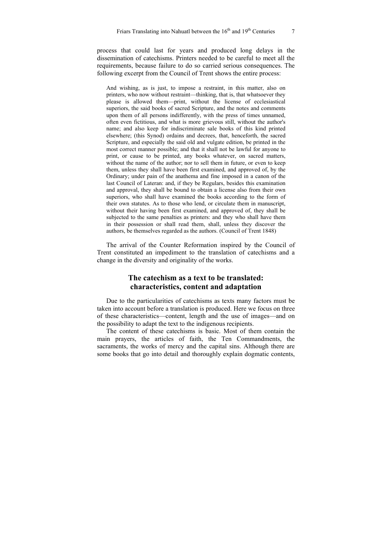process that could last for years and produced long delays in the dissemination of catechisms. Printers needed to be careful to meet all the requirements, because failure to do so carried serious consequences. The following excerpt from the Council of Trent shows the entire process:

And wishing, as is just, to impose a restraint, in this matter, also on printers, who now without restraint—thinking, that is, that whatsoever they please is allowed them—print, without the license of ecclesiastical superiors, the said books of sacred Scripture, and the notes and comments upon them of all persons indifferently, with the press of times unnamed, often even fictitious, and what is more grievous still, without the author's name; and also keep for indiscriminate sale books of this kind printed elsewhere; (this Synod) ordains and decrees, that, henceforth, the sacred Scripture, and especially the said old and vulgate edition, be printed in the most correct manner possible; and that it shall not be lawful for anyone to print, or cause to be printed, any books whatever, on sacred matters, without the name of the author; nor to sell them in future, or even to keep them, unless they shall have been first examined, and approved of, by the Ordinary; under pain of the anathema and fine imposed in a canon of the last Council of Lateran: and, if they be Regulars, besides this examination and approval, they shall be bound to obtain a license also from their own superiors, who shall have examined the books according to the form of their own statutes. As to those who lend, or circulate them in manuscript, without their having been first examined, and approved of, they shall be subjected to the same penalties as printers: and they who shall have them in their possession or shall read them, shall, unless they discover the authors, be themselves regarded as the authors. (Council of Trent 1848)

The arrival of the Counter Reformation inspired by the Council of Trent constituted an impediment to the translation of catechisms and a change in the diversity and originality of the works.

### **The catechism as a text to be translated: characteristics, content and adaptation**

Due to the particularities of catechisms as texts many factors must be taken into account before a translation is produced. Here we focus on three of these characteristics—content, length and the use of images—and on the possibility to adapt the text to the indigenous recipients.

The content of these catechisms is basic. Most of them contain the main prayers, the articles of faith, the Ten Commandments, the sacraments, the works of mercy and the capital sins. Although there are some books that go into detail and thoroughly explain dogmatic contents,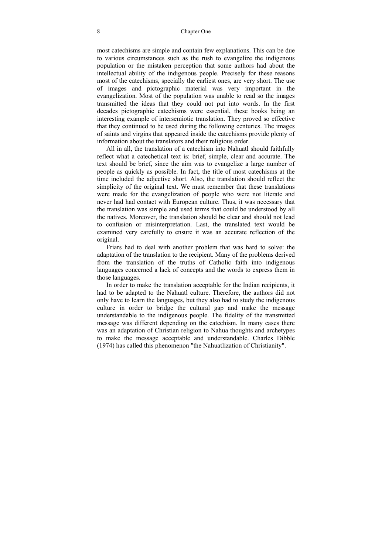most catechisms are simple and contain few explanations. This can be due to various circumstances such as the rush to evangelize the indigenous population or the mistaken perception that some authors had about the intellectual ability of the indigenous people. Precisely for these reasons most of the catechisms, specially the earliest ones, are very short. The use of images and pictographic material was very important in the evangelization. Most of the population was unable to read so the images transmitted the ideas that they could not put into words. In the first decades pictographic catechisms were essential, these books being an interesting example of intersemiotic translation. They proved so effective that they continued to be used during the following centuries. The images of saints and virgins that appeared inside the catechisms provide plenty of information about the translators and their religious order.

All in all, the translation of a catechism into Nahuatl should faithfully reflect what a catechetical text is: brief, simple, clear and accurate. The text should be brief, since the aim was to evangelize a large number of people as quickly as possible. In fact, the title of most catechisms at the time included the adjective short. Also, the translation should reflect the simplicity of the original text. We must remember that these translations were made for the evangelization of people who were not literate and never had had contact with European culture. Thus, it was necessary that the translation was simple and used terms that could be understood by all the natives. Moreover, the translation should be clear and should not lead to confusion or misinterpretation. Last, the translated text would be examined very carefully to ensure it was an accurate reflection of the original.

Friars had to deal with another problem that was hard to solve: the adaptation of the translation to the recipient. Many of the problems derived from the translation of the truths of Catholic faith into indigenous languages concerned a lack of concepts and the words to express them in those languages.

In order to make the translation acceptable for the Indian recipients, it had to be adapted to the Nahuatl culture. Therefore, the authors did not only have to learn the languages, but they also had to study the indigenous culture in order to bridge the cultural gap and make the message understandable to the indigenous people. The fidelity of the transmitted message was different depending on the catechism. In many cases there was an adaptation of Christian religion to Nahua thoughts and archetypes to make the message acceptable and understandable. Charles Dibble (1974) has called this phenomenon "the Nahuatlization of Christianity".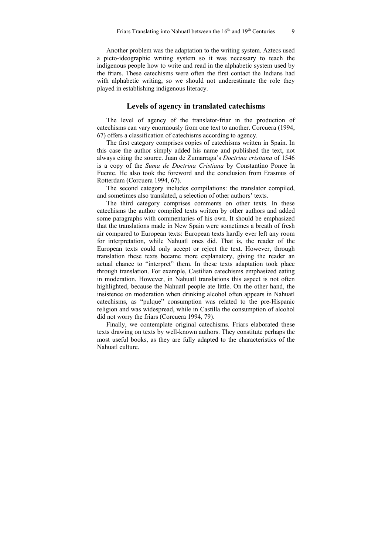Another problem was the adaptation to the writing system. Aztecs used a picto-ideographic writing system so it was necessary to teach the indigenous people how to write and read in the alphabetic system used by the friars. These catechisms were often the first contact the Indians had with alphabetic writing, so we should not underestimate the role they played in establishing indigenous literacy.

### **Levels of agency in translated catechisms**

The level of agency of the translator-friar in the production of catechisms can vary enormously from one text to another. Corcuera (1994, 67) offers a classification of catechisms according to agency.

The first category comprises copies of catechisms written in Spain. In this case the author simply added his name and published the text, not always citing the source. Juan de Zumarraga's *Doctrina cristiana* of 1546 is a copy of the *Suma de Doctrina Cristiana* by Constantino Ponce la Fuente. He also took the foreword and the conclusion from Erasmus of Rotterdam (Corcuera 1994, 67).

The second category includes compilations: the translator compiled, and sometimes also translated, a selection of other authors' texts.

The third category comprises comments on other texts. In these catechisms the author compiled texts written by other authors and added some paragraphs with commentaries of his own. It should be emphasized that the translations made in New Spain were sometimes a breath of fresh air compared to European texts: European texts hardly ever left any room for interpretation, while Nahuatl ones did. That is, the reader of the European texts could only accept or reject the text. However, through translation these texts became more explanatory, giving the reader an actual chance to "interpret" them. In these texts adaptation took place through translation. For example, Castilian catechisms emphasized eating in moderation. However, in Nahuatl translations this aspect is not often highlighted, because the Nahuatl people ate little. On the other hand, the insistence on moderation when drinking alcohol often appears in Nahuatl catechisms, as "pulque" consumption was related to the pre-Hispanic religion and was widespread, while in Castilla the consumption of alcohol did not worry the friars (Corcuera 1994, 79).

Finally, we contemplate original catechisms. Friars elaborated these texts drawing on texts by well-known authors. They constitute perhaps the most useful books, as they are fully adapted to the characteristics of the Nahuatl culture.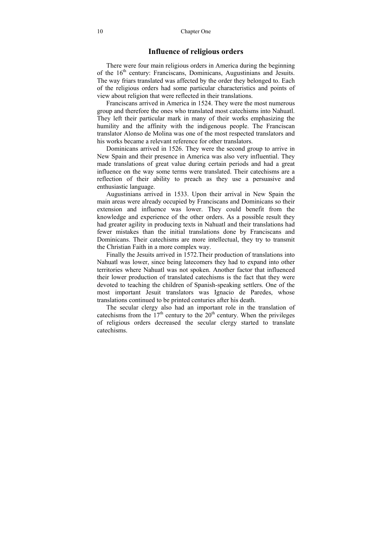### **Influence of religious orders**

There were four main religious orders in America during the beginning of the 16<sup>th</sup> century: Franciscans, Dominicans, Augustinians and Jesuits. The way friars translated was affected by the order they belonged to. Each of the religious orders had some particular characteristics and points of view about religion that were reflected in their translations.

Franciscans arrived in America in 1524. They were the most numerous group and therefore the ones who translated most catechisms into Nahuatl. They left their particular mark in many of their works emphasizing the humility and the affinity with the indigenous people. The Franciscan translator Alonso de Molina was one of the most respected translators and his works became a relevant reference for other translators.

Dominicans arrived in 1526. They were the second group to arrive in New Spain and their presence in America was also very influential. They made translations of great value during certain periods and had a great influence on the way some terms were translated. Their catechisms are a reflection of their ability to preach as they use a persuasive and enthusiastic language.

Augustinians arrived in 1533. Upon their arrival in New Spain the main areas were already occupied by Franciscans and Dominicans so their extension and influence was lower. They could benefit from the knowledge and experience of the other orders. As a possible result they had greater agility in producing texts in Nahuatl and their translations had fewer mistakes than the initial translations done by Franciscans and Dominicans. Their catechisms are more intellectual, they try to transmit the Christian Faith in a more complex way.

Finally the Jesuits arrived in 1572.Their production of translations into Nahuatl was lower, since being latecomers they had to expand into other territories where Nahuatl was not spoken. Another factor that influenced their lower production of translated catechisms is the fact that they were devoted to teaching the children of Spanish-speaking settlers. One of the most important Jesuit translators was Ignacio de Paredes, whose translations continued to be printed centuries after his death.

The secular clergy also had an important role in the translation of catechisms from the  $17<sup>th</sup>$  century to the  $20<sup>th</sup>$  century. When the privileges of religious orders decreased the secular clergy started to translate catechisms.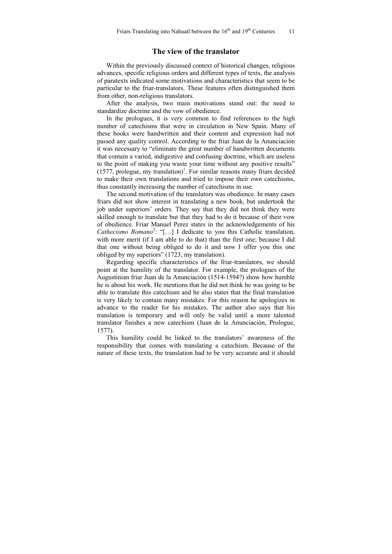### **The view of the translator**

Within the previously discussed context of historical changes, religious advances, specific religious orders and different types of texts, the analysis of paratexts indicated some motivations and characteristics that seem to be particular to the friar-translators. These features often distinguished them from other, non-religious translators.

After the analysis, two main motivations stand out: the need to standardize doctrine and the vow of obedience.

In the prologues, it is very common to find references to the high number of catechisms that were in circulation in New Spain. Many of these books were handwritten and their content and expression had not passed any quality control. According to the friar Juan de la Anunciación it was necessary to "eliminate the great number of handwritten documents that contain a varied, indigestive and confusing doctrine, which are useless to the point of making you waste your time without any positive results"  $(1577,$  prologue, my translation)<sup>1</sup>. For similar reasons many friars decided to make their own translations and tried to impose their own catechisms, thus constantly increasing the number of catechisms in use.

The second motivation of the translators was obedience. In many cases friars did not show interest in translating a new book, but undertook the job under superiors' orders. They say that they did not think they were skilled enough to translate but that they had to do it because of their vow of obedience. Friar Manuel Perez states in the acknowledgements of his Cathecismo Romano<sup>2</sup>: "[...] I dedicate to you this Catholic translation, with more merit (if I am able to do that) than the first one; because I did that one without being obliged to do it and now I offer you this one obliged by my superiors" (1723, my translation).

Regarding specific characteristics of the friar-translators, we should point at the humility of the translator. For example, the prologues of the Augustinian friar Juan de la Anunciación (1514-1594?) show how humble he is about his work. He mentions that he did not think he was going to be able to translate this catechism and he also states that the final translation is very likely to contain many mistakes. For this reason he apologizes in advance to the reader for his mistakes. The author also says that his translation is temporary and will only be valid until a more talented translator finishes a new catechism (Juan de la Anunciación, Prologue, 1577).

This humility could be linked to the translators' awareness of the responsibility that comes with translating a catechism. Because of the nature of these texts, the translation had to be very accurate and it should